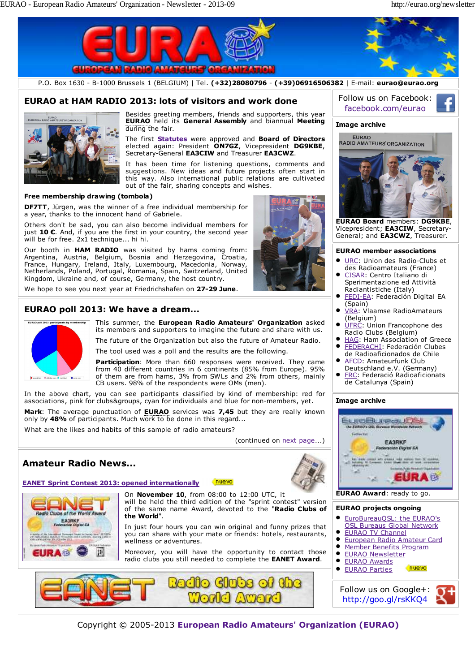

- EURAO TV Channel  $\bullet$ 
	- European Radio Amateur Card  $\bullet$ Member Benefits Program
	-
	- EURAO Parties

Follow us on Google+: http://goo.gl/rsKKQ4



Copyright © 2005-2013 **European Radio Amateurs' Organization (EURAO)**



you can share with your mate or friends: hotels, restaurants, wellness or adventures.

Moreover, you will have the opportunity to contact those radio clubs you still needed to complete the **EANET Award**.